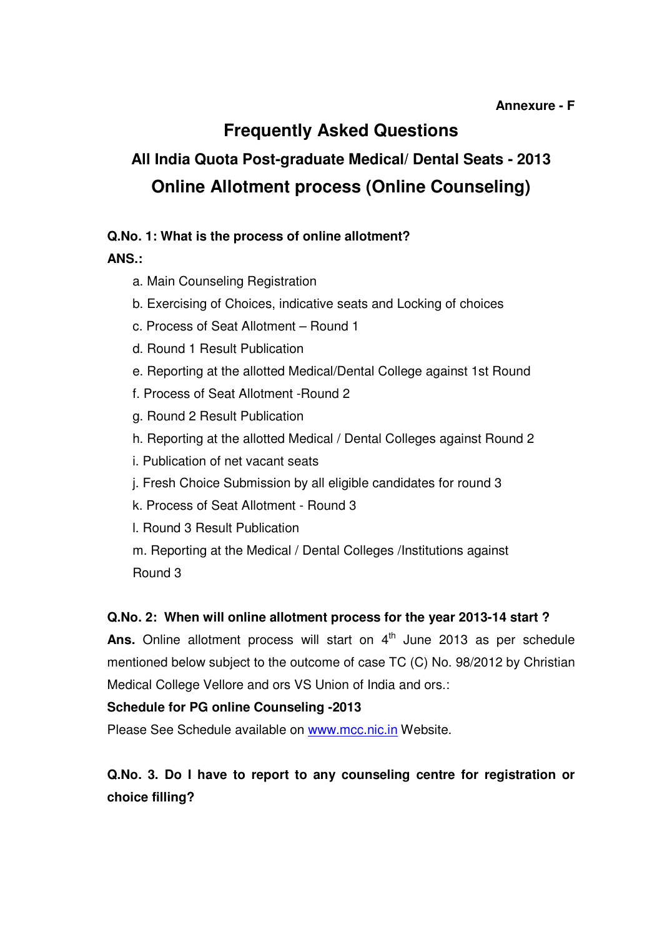# **Frequently Asked Questions**

# **All India Quota Post-graduate Medical/ Dental Seats - 2013 Online Allotment process (Online Counseling)**

#### **Q.No. 1: What is the process of online allotment?**

**ANS.:**

- a. Main Counseling Registration
- b. Exercising of Choices, indicative seats and Locking of choices
- c. Process of Seat Allotment Round 1
- d. Round 1 Result Publication
- e. Reporting at the allotted Medical/Dental College against 1st Round
- f. Process of Seat Allotment -Round 2
- g. Round 2 Result Publication
- h. Reporting at the allotted Medical / Dental Colleges against Round 2
- i. Publication of net vacant seats
- j. Fresh Choice Submission by all eligible candidates for round 3
- k. Process of Seat Allotment Round 3
- l. Round 3 Result Publication
- m. Reporting at the Medical / Dental Colleges /Institutions against Round 3

#### **Q.No. 2: When will online allotment process for the year 2013-14 start ?**

Ans. Online allotment process will start on 4<sup>th</sup> June 2013 as per schedule mentioned below subject to the outcome of case TC (C) No. 98/2012 by Christian Medical College Vellore and ors VS Union of India and ors.:

#### **Schedule for PG online Counseling -2013**

Please See Schedule available on www.mcc.nic.in Website.

# **Q.No. 3. Do I have to report to any counseling centre for registration or choice filling?**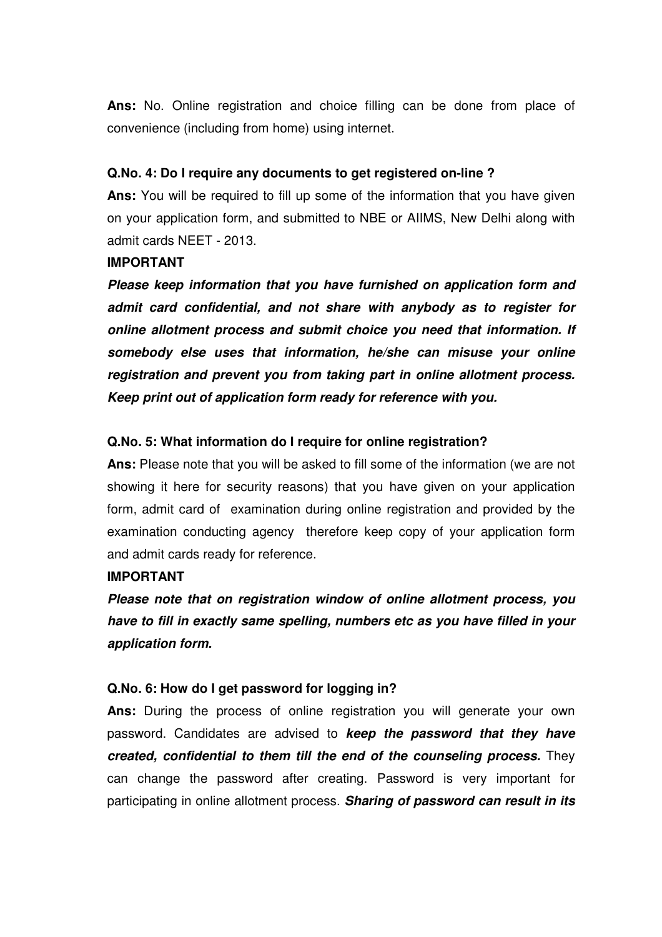**Ans:** No. Online registration and choice filling can be done from place of convenience (including from home) using internet.

#### **Q.No. 4: Do I require any documents to get registered on-line ?**

**Ans:** You will be required to fill up some of the information that you have given on your application form, and submitted to NBE or AIIMS, New Delhi along with admit cards NEET - 2013.

#### **IMPORTANT**

**Please keep information that you have furnished on application form and admit card confidential, and not share with anybody as to register for online allotment process and submit choice you need that information. If somebody else uses that information, he/she can misuse your online registration and prevent you from taking part in online allotment process. Keep print out of application form ready for reference with you.** 

#### **Q.No. 5: What information do I require for online registration?**

**Ans:** Please note that you will be asked to fill some of the information (we are not showing it here for security reasons) that you have given on your application form, admit card of examination during online registration and provided by the examination conducting agency therefore keep copy of your application form and admit cards ready for reference.

#### **IMPORTANT**

**Please note that on registration window of online allotment process, you have to fill in exactly same spelling, numbers etc as you have filled in your application form.** 

#### **Q.No. 6: How do I get password for logging in?**

**Ans:** During the process of online registration you will generate your own password. Candidates are advised to **keep the password that they have created, confidential to them till the end of the counseling process.** They can change the password after creating. Password is very important for participating in online allotment process. **Sharing of password can result in its**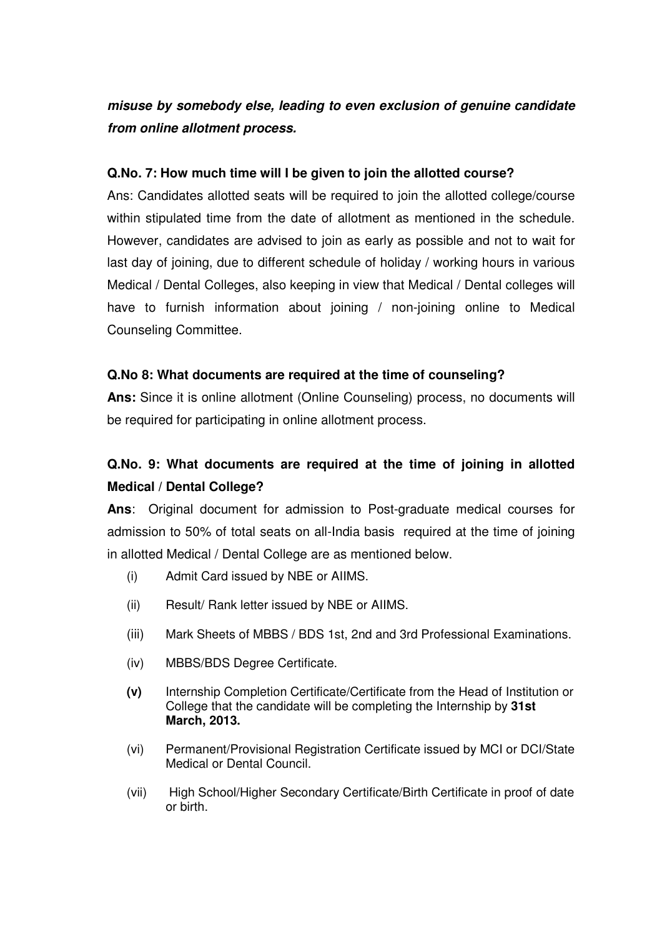# **misuse by somebody else, leading to even exclusion of genuine candidate from online allotment process.**

#### **Q.No. 7: How much time will I be given to join the allotted course?**

Ans: Candidates allotted seats will be required to join the allotted college/course within stipulated time from the date of allotment as mentioned in the schedule. However, candidates are advised to join as early as possible and not to wait for last day of joining, due to different schedule of holiday / working hours in various Medical / Dental Colleges, also keeping in view that Medical / Dental colleges will have to furnish information about joining / non-joining online to Medical Counseling Committee.

#### **Q.No 8: What documents are required at the time of counseling?**

**Ans:** Since it is online allotment (Online Counseling) process, no documents will be required for participating in online allotment process.

# **Q.No. 9: What documents are required at the time of joining in allotted Medical / Dental College?**

**Ans**: Original document for admission to Post-graduate medical courses for admission to 50% of total seats on all-India basis required at the time of joining in allotted Medical / Dental College are as mentioned below.

- (i) Admit Card issued by NBE or AIIMS.
- (ii) Result/ Rank letter issued by NBE or AIIMS.
- (iii) Mark Sheets of MBBS / BDS 1st, 2nd and 3rd Professional Examinations.
- (iv) MBBS/BDS Degree Certificate.
- **(v)** Internship Completion Certificate/Certificate from the Head of Institution or College that the candidate will be completing the Internship by **31st March, 2013.**
- (vi) Permanent/Provisional Registration Certificate issued by MCI or DCI/State Medical or Dental Council.
- (vii) High School/Higher Secondary Certificate/Birth Certificate in proof of date or birth.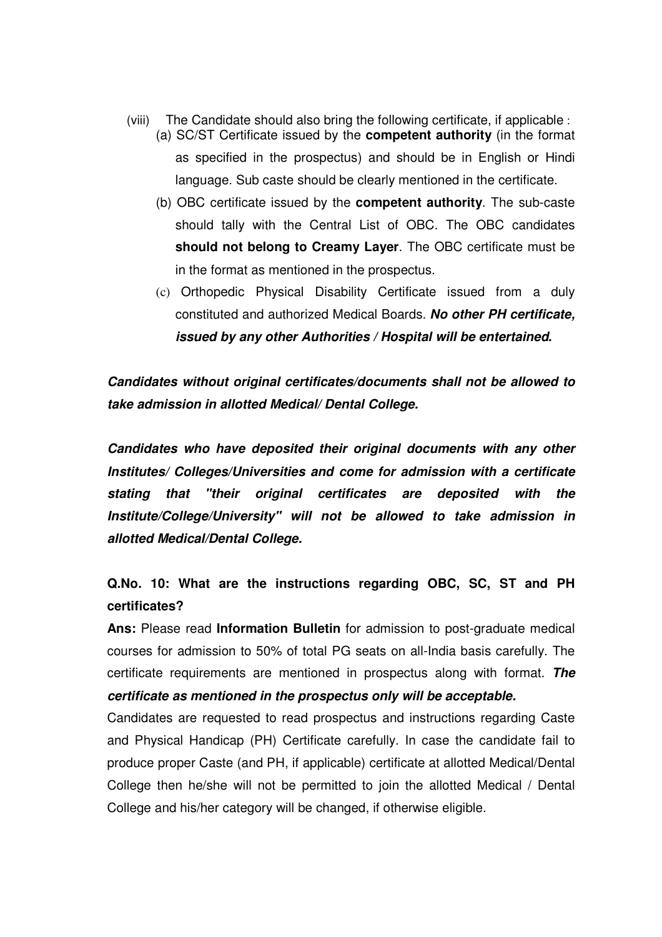- (viii) The Candidate should also bring the following certificate, if applicable :
	- (a) SC/ST Certificate issued by the **competent authority** (in the format as specified in the prospectus) and should be in English or Hindi language. Sub caste should be clearly mentioned in the certificate.
	- (b) OBC certificate issued by the **competent authority**. The sub-caste should tally with the Central List of OBC. The OBC candidates **should not belong to Creamy Layer**. The OBC certificate must be in the format as mentioned in the prospectus.
	- (c) Orthopedic Physical Disability Certificate issued from a duly constituted and authorized Medical Boards. **No other PH certificate, issued by any other Authorities / Hospital will be entertained.**

**Candidates without original certificates/documents shall not be allowed to take admission in allotted Medical/ Dental College.**

**Candidates who have deposited their original documents with any other Institutes/ Colleges/Universities and come for admission with a certificate stating that "their original certificates are deposited with the Institute/College/University" will not be allowed to take admission in allotted Medical/Dental College.** 

# **Q.No. 10: What are the instructions regarding OBC, SC, ST and PH certificates?**

**Ans:** Please read **Information Bulletin** for admission to post-graduate medical courses for admission to 50% of total PG seats on all-India basis carefully. The certificate requirements are mentioned in prospectus along with format. **The certificate as mentioned in the prospectus only will be acceptable.** 

Candidates are requested to read prospectus and instructions regarding Caste and Physical Handicap (PH) Certificate carefully. In case the candidate fail to produce proper Caste (and PH, if applicable) certificate at allotted Medical/Dental College then he/she will not be permitted to join the allotted Medical / Dental College and his/her category will be changed, if otherwise eligible.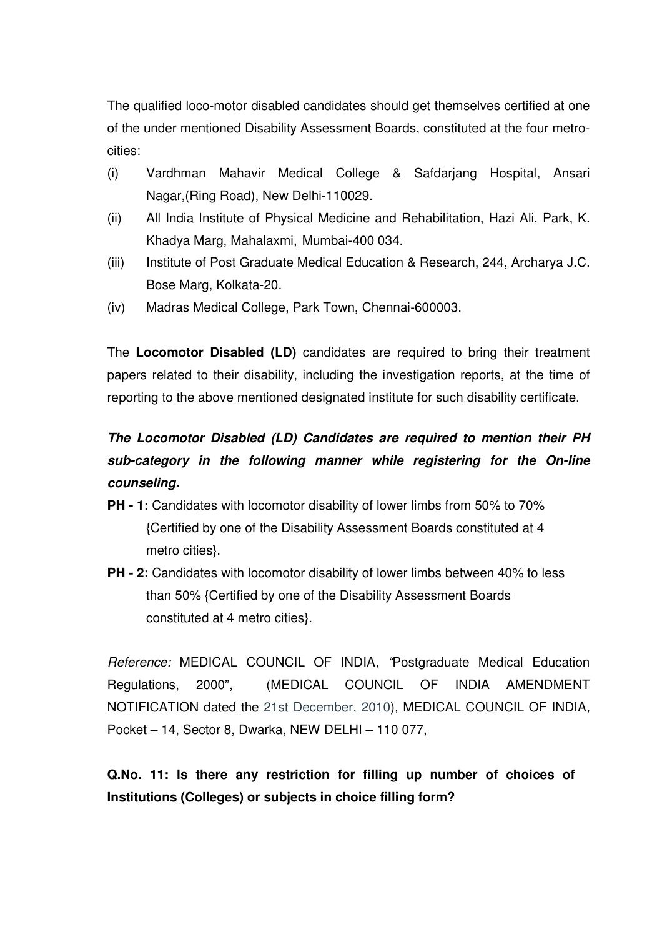The qualified loco-motor disabled candidates should get themselves certified at one of the under mentioned Disability Assessment Boards, constituted at the four metrocities:

- (i) Vardhman Mahavir Medical College & Safdarjang Hospital, Ansari Nagar,(Ring Road), New Delhi-110029.
- (ii) All India Institute of Physical Medicine and Rehabilitation, Hazi Ali, Park, K. Khadya Marg, Mahalaxmi, Mumbai-400 034.
- (iii) Institute of Post Graduate Medical Education & Research, 244, Archarya J.C. Bose Marg, Kolkata-20.
- (iv) Madras Medical College, Park Town, Chennai-600003.

The **Locomotor Disabled (LD)** candidates are required to bring their treatment papers related to their disability, including the investigation reports, at the time of reporting to the above mentioned designated institute for such disability certificate.

# **The Locomotor Disabled (LD) Candidates are required to mention their PH sub-category in the following manner while registering for the On-line counseling.**

- **PH 1:** Candidates with locomotor disability of lower limbs from 50% to 70% {Certified by one of the Disability Assessment Boards constituted at 4 metro cities}.
- **PH 2:** Candidates with locomotor disability of lower limbs between 40% to less than 50% {Certified by one of the Disability Assessment Boards constituted at 4 metro cities}.

Reference: MEDICAL COUNCIL OF INDIA, "Postgraduate Medical Education Regulations, 2000", (MEDICAL COUNCIL OF INDIA AMENDMENT NOTIFICATION dated the 21st December, 2010), MEDICAL COUNCIL OF INDIA, Pocket – 14, Sector 8, Dwarka, NEW DELHI – 110 077,

**Q.No. 11: Is there any restriction for filling up number of choices of Institutions (Colleges) or subjects in choice filling form?**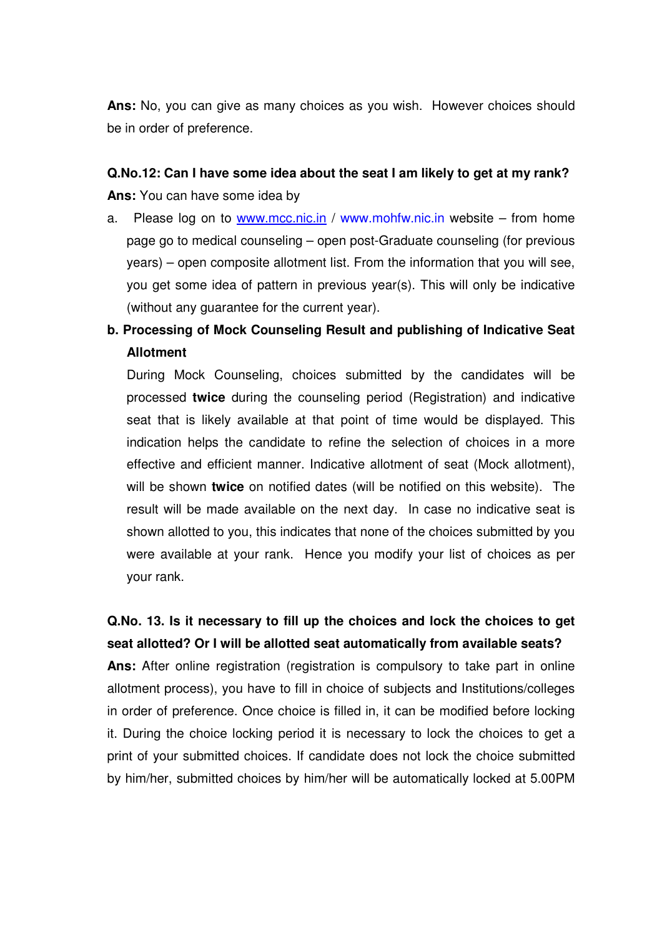**Ans:** No, you can give as many choices as you wish. However choices should be in order of preference.

**Q.No.12: Can I have some idea about the seat I am likely to get at my rank? Ans:** You can have some idea by

- a. Please log on to www.mcc.nic.in / www.mohfw.nic.in website from home page go to medical counseling – open post-Graduate counseling (for previous years) – open composite allotment list. From the information that you will see, you get some idea of pattern in previous year(s). This will only be indicative (without any guarantee for the current year).
- **b. Processing of Mock Counseling Result and publishing of Indicative Seat Allotment**

 During Mock Counseling, choices submitted by the candidates will be processed **twice** during the counseling period (Registration) and indicative seat that is likely available at that point of time would be displayed. This indication helps the candidate to refine the selection of choices in a more effective and efficient manner. Indicative allotment of seat (Mock allotment), will be shown **twice** on notified dates (will be notified on this website). The result will be made available on the next day. In case no indicative seat is shown allotted to you, this indicates that none of the choices submitted by you were available at your rank. Hence you modify your list of choices as per your rank.

**Q.No. 13. Is it necessary to fill up the choices and lock the choices to get seat allotted? Or I will be allotted seat automatically from available seats?** 

**Ans:** After online registration (registration is compulsory to take part in online allotment process), you have to fill in choice of subjects and Institutions/colleges in order of preference. Once choice is filled in, it can be modified before locking it. During the choice locking period it is necessary to lock the choices to get a print of your submitted choices. If candidate does not lock the choice submitted by him/her, submitted choices by him/her will be automatically locked at 5.00PM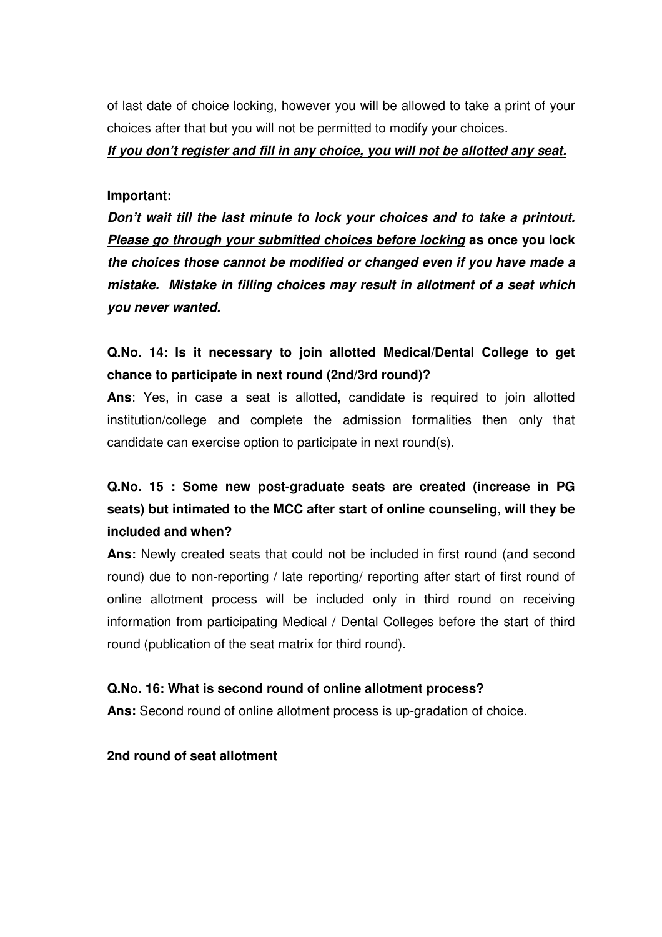of last date of choice locking, however you will be allowed to take a print of your choices after that but you will not be permitted to modify your choices.

**If you don't register and fill in any choice, you will not be allotted any seat.** 

#### **Important:**

**Don't wait till the last minute to lock your choices and to take a printout. Please go through your submitted choices before locking as once you lock the choices those cannot be modified or changed even if you have made a mistake. Mistake in filling choices may result in allotment of a seat which you never wanted.**

# **Q.No. 14: Is it necessary to join allotted Medical/Dental College to get chance to participate in next round (2nd/3rd round)?**

**Ans**: Yes, in case a seat is allotted, candidate is required to join allotted institution/college and complete the admission formalities then only that candidate can exercise option to participate in next round(s).

# **Q.No. 15 : Some new post-graduate seats are created (increase in PG seats) but intimated to the MCC after start of online counseling, will they be included and when?**

**Ans:** Newly created seats that could not be included in first round (and second round) due to non-reporting / late reporting/ reporting after start of first round of online allotment process will be included only in third round on receiving information from participating Medical / Dental Colleges before the start of third round (publication of the seat matrix for third round).

#### **Q.No. 16: What is second round of online allotment process?**

**Ans:** Second round of online allotment process is up-gradation of choice.

**2nd round of seat allotment**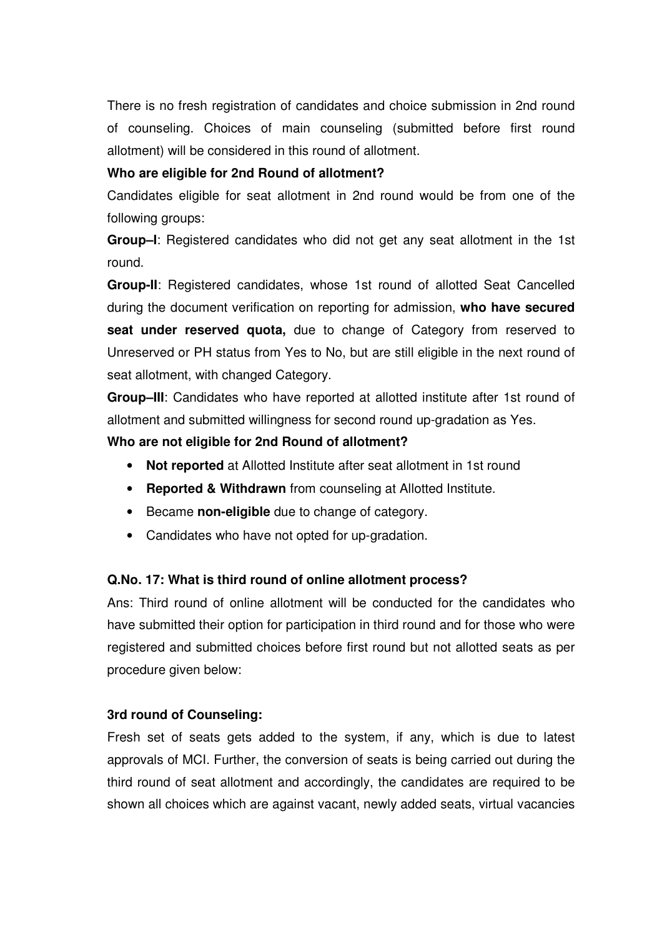There is no fresh registration of candidates and choice submission in 2nd round of counseling. Choices of main counseling (submitted before first round allotment) will be considered in this round of allotment.

#### **Who are eligible for 2nd Round of allotment?**

Candidates eligible for seat allotment in 2nd round would be from one of the following groups:

**Group–I**: Registered candidates who did not get any seat allotment in the 1st round.

**Group-II**: Registered candidates, whose 1st round of allotted Seat Cancelled during the document verification on reporting for admission, **who have secured seat under reserved quota,** due to change of Category from reserved to Unreserved or PH status from Yes to No, but are still eligible in the next round of seat allotment, with changed Category.

**Group–III**: Candidates who have reported at allotted institute after 1st round of allotment and submitted willingness for second round up-gradation as Yes.

#### **Who are not eligible for 2nd Round of allotment?**

- **Not reported** at Allotted Institute after seat allotment in 1st round
- **Reported & Withdrawn** from counseling at Allotted Institute.
- Became **non-eligible** due to change of category.
- Candidates who have not opted for up-gradation.

#### **Q.No. 17: What is third round of online allotment process?**

Ans: Third round of online allotment will be conducted for the candidates who have submitted their option for participation in third round and for those who were registered and submitted choices before first round but not allotted seats as per procedure given below:

#### **3rd round of Counseling:**

Fresh set of seats gets added to the system, if any, which is due to latest approvals of MCI. Further, the conversion of seats is being carried out during the third round of seat allotment and accordingly, the candidates are required to be shown all choices which are against vacant, newly added seats, virtual vacancies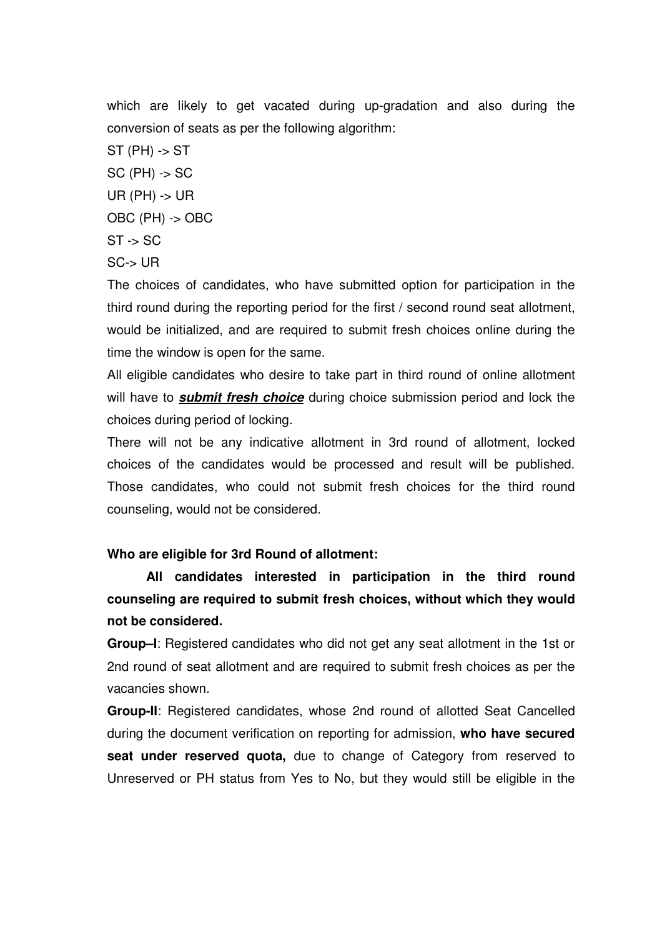which are likely to get vacated during up-gradation and also during the conversion of seats as per the following algorithm:

 $ST$  (PH) -> ST SC (PH) -> SC  $UR$  (PH)  $\rightarrow$  UR OBC (PH) -> OBC  $ST \rightarrow SC$ SC-> UR

The choices of candidates, who have submitted option for participation in the third round during the reporting period for the first / second round seat allotment, would be initialized, and are required to submit fresh choices online during the time the window is open for the same.

All eligible candidates who desire to take part in third round of online allotment will have to **submit fresh choice** during choice submission period and lock the choices during period of locking.

There will not be any indicative allotment in 3rd round of allotment, locked choices of the candidates would be processed and result will be published. Those candidates, who could not submit fresh choices for the third round counseling, would not be considered.

#### **Who are eligible for 3rd Round of allotment:**

**All candidates interested in participation in the third round counseling are required to submit fresh choices, without which they would not be considered.** 

**Group–I**: Registered candidates who did not get any seat allotment in the 1st or 2nd round of seat allotment and are required to submit fresh choices as per the vacancies shown.

**Group-II**: Registered candidates, whose 2nd round of allotted Seat Cancelled during the document verification on reporting for admission, **who have secured seat under reserved quota,** due to change of Category from reserved to Unreserved or PH status from Yes to No, but they would still be eligible in the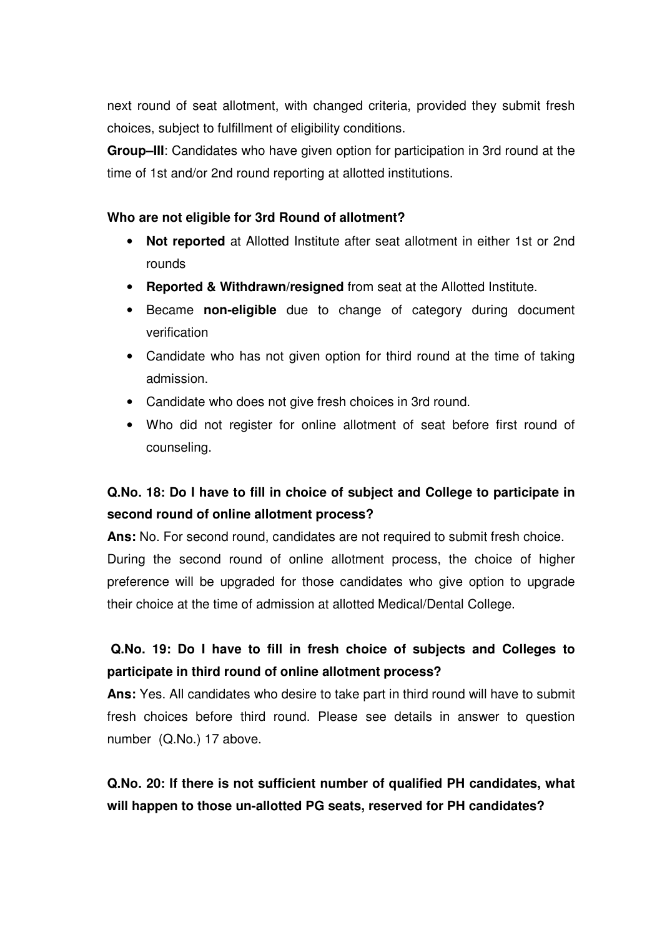next round of seat allotment, with changed criteria, provided they submit fresh choices, subject to fulfillment of eligibility conditions.

**Group–III**: Candidates who have given option for participation in 3rd round at the time of 1st and/or 2nd round reporting at allotted institutions.

#### **Who are not eligible for 3rd Round of allotment?**

- **Not reported** at Allotted Institute after seat allotment in either 1st or 2nd rounds
- **Reported & Withdrawn/resigned** from seat at the Allotted Institute.
- Became **non-eligible** due to change of category during document verification
- Candidate who has not given option for third round at the time of taking admission.
- Candidate who does not give fresh choices in 3rd round.
- Who did not register for online allotment of seat before first round of counseling.

# **Q.No. 18: Do I have to fill in choice of subject and College to participate in second round of online allotment process?**

**Ans:** No. For second round, candidates are not required to submit fresh choice. During the second round of online allotment process, the choice of higher preference will be upgraded for those candidates who give option to upgrade their choice at the time of admission at allotted Medical/Dental College.

# **Q.No. 19: Do I have to fill in fresh choice of subjects and Colleges to participate in third round of online allotment process?**

**Ans:** Yes. All candidates who desire to take part in third round will have to submit fresh choices before third round. Please see details in answer to question number (Q.No.) 17 above.

**Q.No. 20: If there is not sufficient number of qualified PH candidates, what will happen to those un-allotted PG seats, reserved for PH candidates?**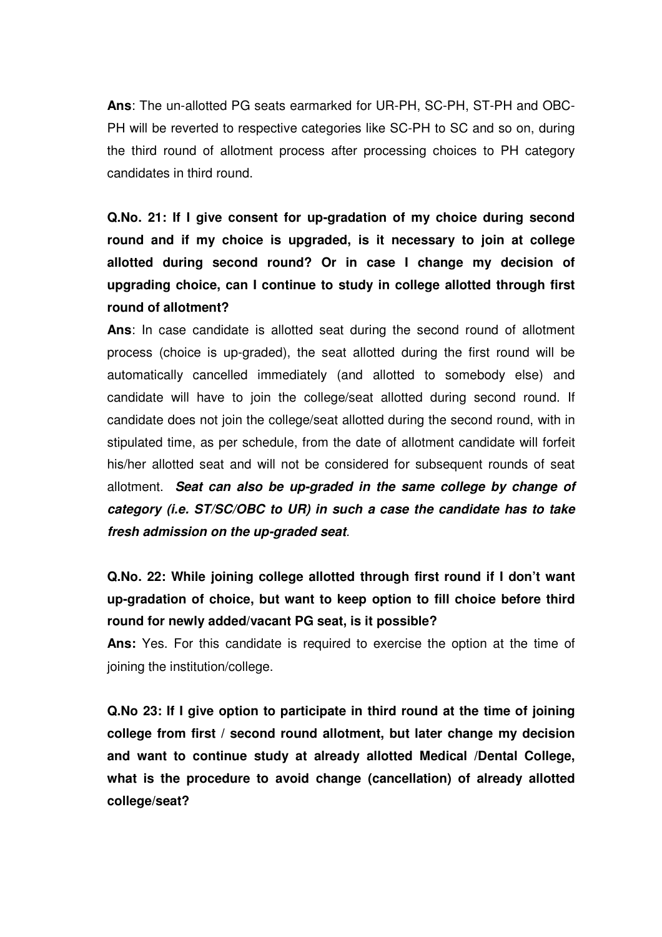**Ans**: The un-allotted PG seats earmarked for UR-PH, SC-PH, ST-PH and OBC-PH will be reverted to respective categories like SC-PH to SC and so on, during the third round of allotment process after processing choices to PH category candidates in third round.

**Q.No. 21: If I give consent for up-gradation of my choice during second round and if my choice is upgraded, is it necessary to join at college allotted during second round? Or in case I change my decision of upgrading choice, can I continue to study in college allotted through first round of allotment?** 

**Ans**: In case candidate is allotted seat during the second round of allotment process (choice is up-graded), the seat allotted during the first round will be automatically cancelled immediately (and allotted to somebody else) and candidate will have to join the college/seat allotted during second round. If candidate does not join the college/seat allotted during the second round, with in stipulated time, as per schedule, from the date of allotment candidate will forfeit his/her allotted seat and will not be considered for subsequent rounds of seat allotment. **Seat can also be up-graded in the same college by change of category (i.e. ST/SC/OBC to UR) in such a case the candidate has to take fresh admission on the up-graded seat**.

**Q.No. 22: While joining college allotted through first round if I don't want up-gradation of choice, but want to keep option to fill choice before third round for newly added/vacant PG seat, is it possible?** 

**Ans:** Yes. For this candidate is required to exercise the option at the time of joining the institution/college.

**Q.No 23: If I give option to participate in third round at the time of joining college from first / second round allotment, but later change my decision and want to continue study at already allotted Medical /Dental College, what is the procedure to avoid change (cancellation) of already allotted college/seat?**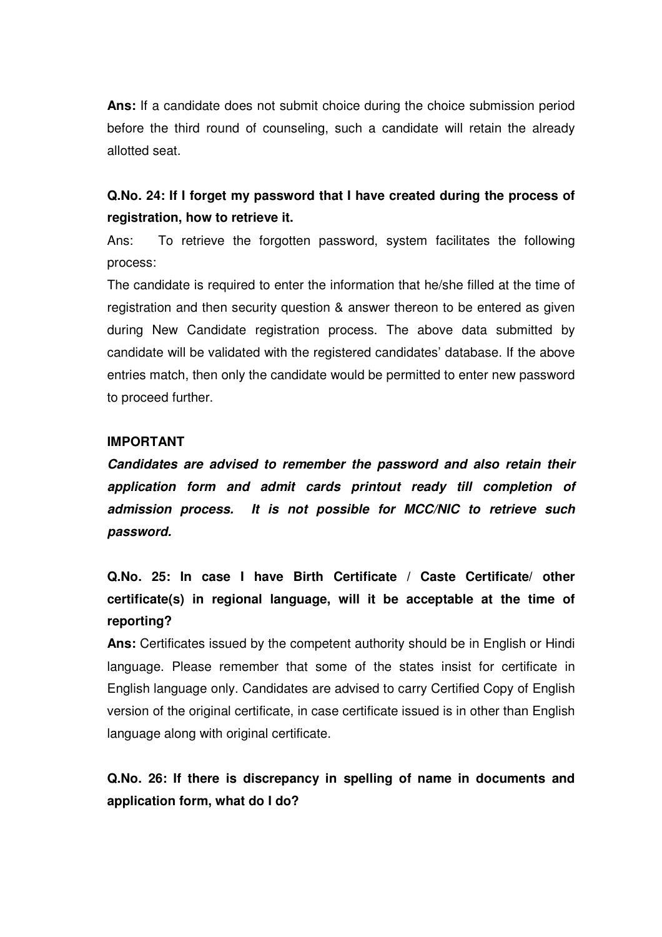**Ans:** If a candidate does not submit choice during the choice submission period before the third round of counseling, such a candidate will retain the already allotted seat.

### **Q.No. 24: If I forget my password that I have created during the process of registration, how to retrieve it.**

Ans: To retrieve the forgotten password, system facilitates the following process:

The candidate is required to enter the information that he/she filled at the time of registration and then security question & answer thereon to be entered as given during New Candidate registration process. The above data submitted by candidate will be validated with the registered candidates' database. If the above entries match, then only the candidate would be permitted to enter new password to proceed further.

#### **IMPORTANT**

**Candidates are advised to remember the password and also retain their application form and admit cards printout ready till completion of admission process. It is not possible for MCC/NIC to retrieve such password.** 

**Q.No. 25: In case I have Birth Certificate / Caste Certificate/ other certificate(s) in regional language, will it be acceptable at the time of reporting?** 

**Ans:** Certificates issued by the competent authority should be in English or Hindi language. Please remember that some of the states insist for certificate in English language only. Candidates are advised to carry Certified Copy of English version of the original certificate, in case certificate issued is in other than English language along with original certificate.

**Q.No. 26: If there is discrepancy in spelling of name in documents and application form, what do I do?**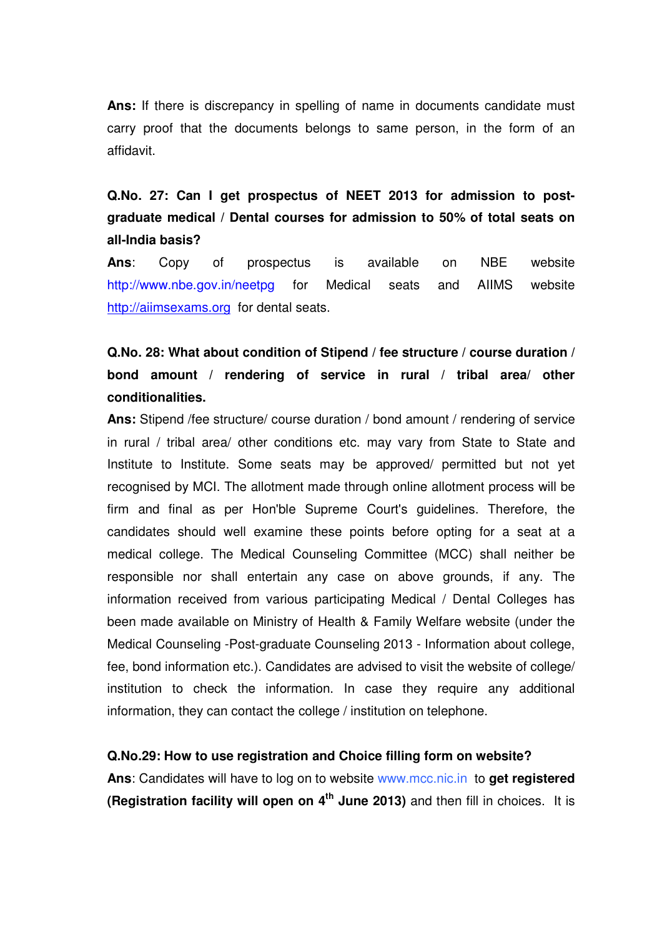**Ans:** If there is discrepancy in spelling of name in documents candidate must carry proof that the documents belongs to same person, in the form of an affidavit.

# **Q.No. 27: Can I get prospectus of NEET 2013 for admission to postgraduate medical / Dental courses for admission to 50% of total seats on all-India basis?**

**Ans**: Copy of prospectus is available on NBE website http://www.nbe.gov.in/neetpg for Medical seats and AIIMS website http://aiimsexams.org for dental seats.

# **Q.No. 28: What about condition of Stipend / fee structure / course duration / bond amount / rendering of service in rural / tribal area/ other conditionalities.**

**Ans:** Stipend /fee structure/ course duration / bond amount / rendering of service in rural / tribal area/ other conditions etc. may vary from State to State and Institute to Institute. Some seats may be approved/ permitted but not yet recognised by MCI. The allotment made through online allotment process will be firm and final as per Hon'ble Supreme Court's guidelines. Therefore, the candidates should well examine these points before opting for a seat at a medical college. The Medical Counseling Committee (MCC) shall neither be responsible nor shall entertain any case on above grounds, if any. The information received from various participating Medical / Dental Colleges has been made available on Ministry of Health & Family Welfare website (under the Medical Counseling -Post-graduate Counseling 2013 - Information about college, fee, bond information etc.). Candidates are advised to visit the website of college/ institution to check the information. In case they require any additional information, they can contact the college / institution on telephone.

#### **Q.No.29: How to use registration and Choice filling form on website?**

**Ans**: Candidates will have to log on to website www.mcc.nic.in to **get registered (Registration facility will open on 4th June 2013)** and then fill in choices. It is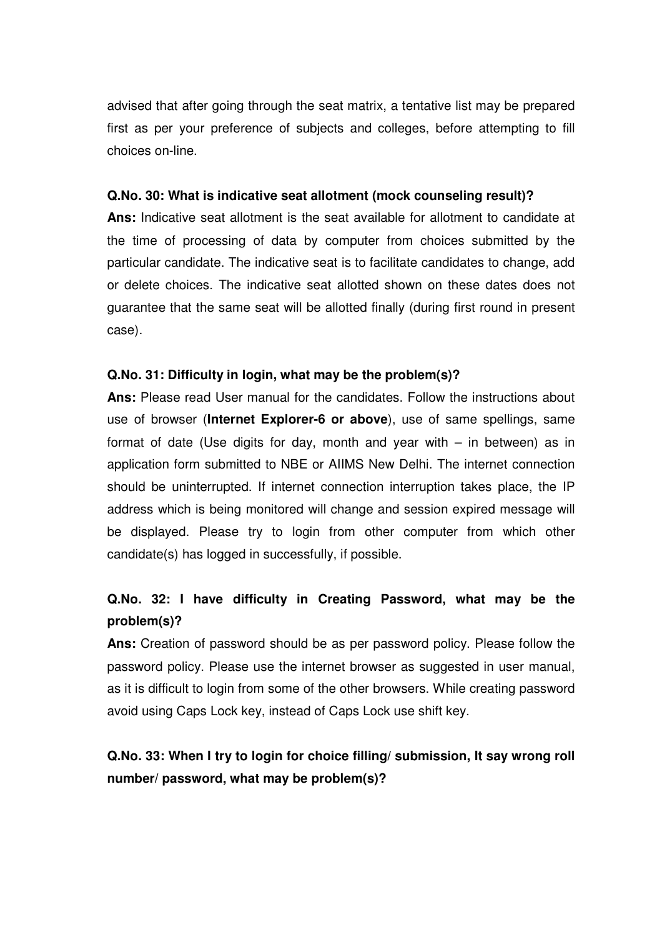advised that after going through the seat matrix, a tentative list may be prepared first as per your preference of subjects and colleges, before attempting to fill choices on-line.

#### **Q.No. 30: What is indicative seat allotment (mock counseling result)?**

**Ans:** Indicative seat allotment is the seat available for allotment to candidate at the time of processing of data by computer from choices submitted by the particular candidate. The indicative seat is to facilitate candidates to change, add or delete choices. The indicative seat allotted shown on these dates does not guarantee that the same seat will be allotted finally (during first round in present case).

#### **Q.No. 31: Difficulty in login, what may be the problem(s)?**

**Ans:** Please read User manual for the candidates. Follow the instructions about use of browser (**Internet Explorer-6 or above**), use of same spellings, same format of date (Use digits for day, month and year with – in between) as in application form submitted to NBE or AIIMS New Delhi. The internet connection should be uninterrupted. If internet connection interruption takes place, the IP address which is being monitored will change and session expired message will be displayed. Please try to login from other computer from which other candidate(s) has logged in successfully, if possible.

# **Q.No. 32: I have difficulty in Creating Password, what may be the problem(s)?**

**Ans:** Creation of password should be as per password policy. Please follow the password policy. Please use the internet browser as suggested in user manual, as it is difficult to login from some of the other browsers. While creating password avoid using Caps Lock key, instead of Caps Lock use shift key.

# **Q.No. 33: When I try to login for choice filling/ submission, It say wrong roll number/ password, what may be problem(s)?**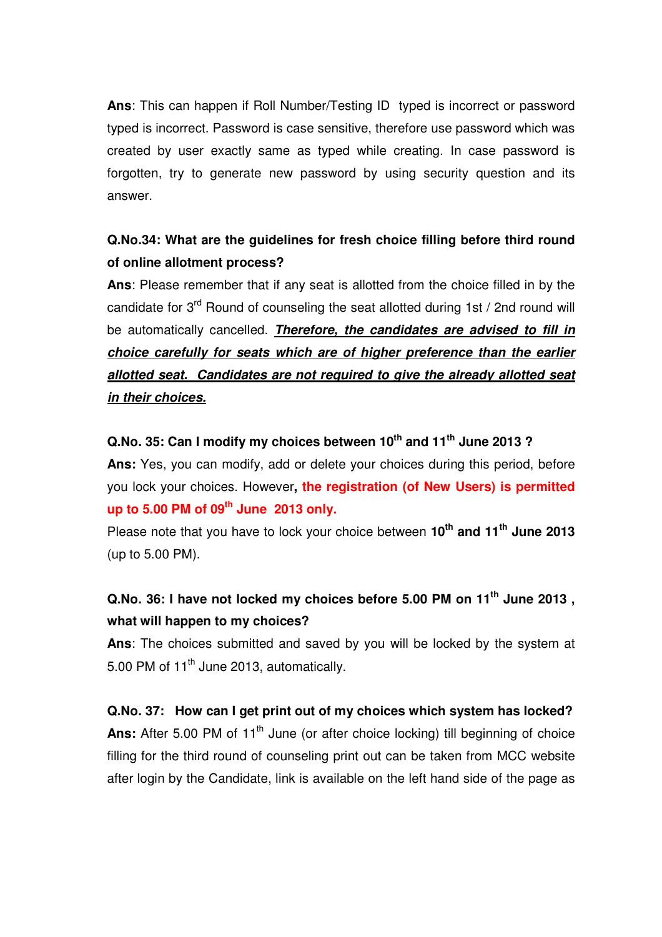**Ans**: This can happen if Roll Number/Testing ID typed is incorrect or password typed is incorrect. Password is case sensitive, therefore use password which was created by user exactly same as typed while creating. In case password is forgotten, try to generate new password by using security question and its answer.

# **Q.No.34: What are the guidelines for fresh choice filling before third round of online allotment process?**

**Ans**: Please remember that if any seat is allotted from the choice filled in by the candidate for  $3<sup>rd</sup>$  Round of counseling the seat allotted during 1st / 2nd round will be automatically cancelled. **Therefore, the candidates are advised to fill in choice carefully for seats which are of higher preference than the earlier allotted seat. Candidates are not required to give the already allotted seat in their choices.**

#### **Q.No. 35: Can I modify my choices between 10th and 11th June 2013 ?**

**Ans:** Yes, you can modify, add or delete your choices during this period, before you lock your choices. However**, the registration (of New Users) is permitted up to 5.00 PM of 09th June 2013 only.**

Please note that you have to lock your choice between **10th and 11th June 2013** (up to 5.00 PM).

# **Q.No. 36: I have not locked my choices before 5.00 PM on 11th June 2013 , what will happen to my choices?**

**Ans**: The choices submitted and saved by you will be locked by the system at 5.00 PM of 11<sup>th</sup> June 2013, automatically.

**Q.No. 37: How can I get print out of my choices which system has locked?**  Ans: After 5.00 PM of 11<sup>th</sup> June (or after choice locking) till beginning of choice filling for the third round of counseling print out can be taken from MCC website after login by the Candidate, link is available on the left hand side of the page as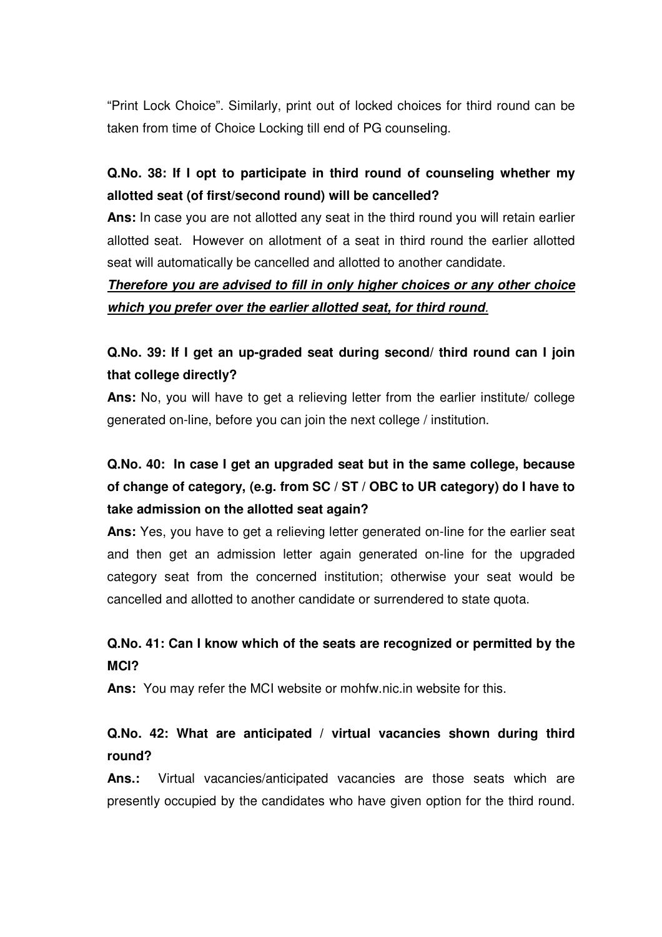"Print Lock Choice". Similarly, print out of locked choices for third round can be taken from time of Choice Locking till end of PG counseling.

# **Q.No. 38: If I opt to participate in third round of counseling whether my allotted seat (of first/second round) will be cancelled?**

**Ans:** In case you are not allotted any seat in the third round you will retain earlier allotted seat. However on allotment of a seat in third round the earlier allotted seat will automatically be cancelled and allotted to another candidate.

# **Therefore you are advised to fill in only higher choices or any other choice which you prefer over the earlier allotted seat, for third round**.

# **Q.No. 39: If I get an up-graded seat during second/ third round can I join that college directly?**

Ans: No, you will have to get a relieving letter from the earlier institute/ college generated on-line, before you can join the next college / institution.

# **Q.No. 40: In case I get an upgraded seat but in the same college, because of change of category, (e.g. from SC / ST / OBC to UR category) do I have to take admission on the allotted seat again?**

**Ans:** Yes, you have to get a relieving letter generated on-line for the earlier seat and then get an admission letter again generated on-line for the upgraded category seat from the concerned institution; otherwise your seat would be cancelled and allotted to another candidate or surrendered to state quota.

# **Q.No. 41: Can I know which of the seats are recognized or permitted by the MCI?**

**Ans:** You may refer the MCI website or mohfw.nic.in website for this.

### **Q.No. 42: What are anticipated / virtual vacancies shown during third round?**

**Ans.:** Virtual vacancies/anticipated vacancies are those seats which are presently occupied by the candidates who have given option for the third round.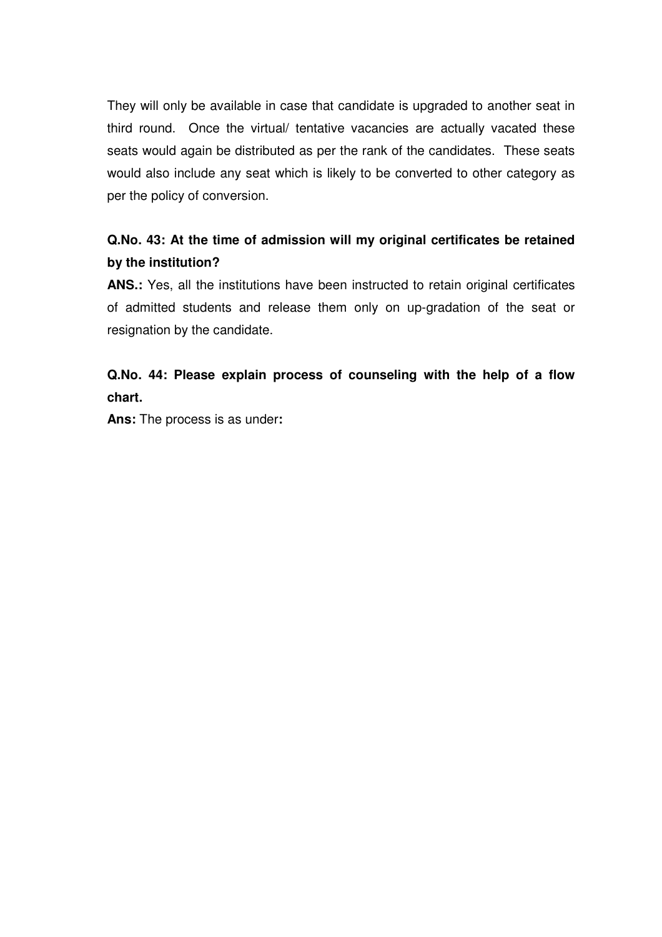They will only be available in case that candidate is upgraded to another seat in third round. Once the virtual/ tentative vacancies are actually vacated these seats would again be distributed as per the rank of the candidates. These seats would also include any seat which is likely to be converted to other category as per the policy of conversion.

# **Q.No. 43: At the time of admission will my original certificates be retained by the institution?**

**ANS.:** Yes, all the institutions have been instructed to retain original certificates of admitted students and release them only on up-gradation of the seat or resignation by the candidate.

### **Q.No. 44: Please explain process of counseling with the help of a flow chart.**

**Ans:** The process is as under**:**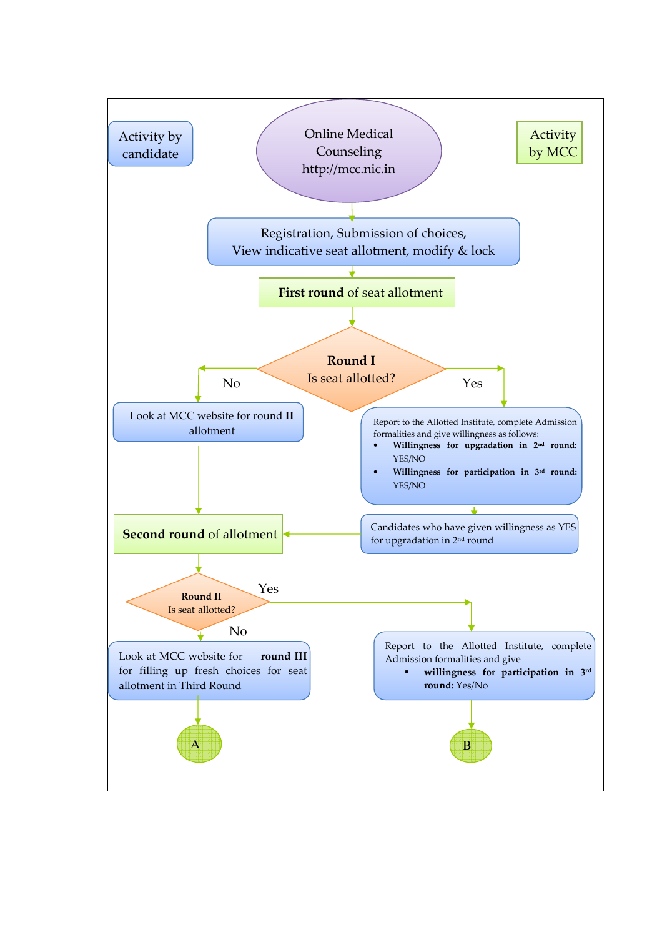